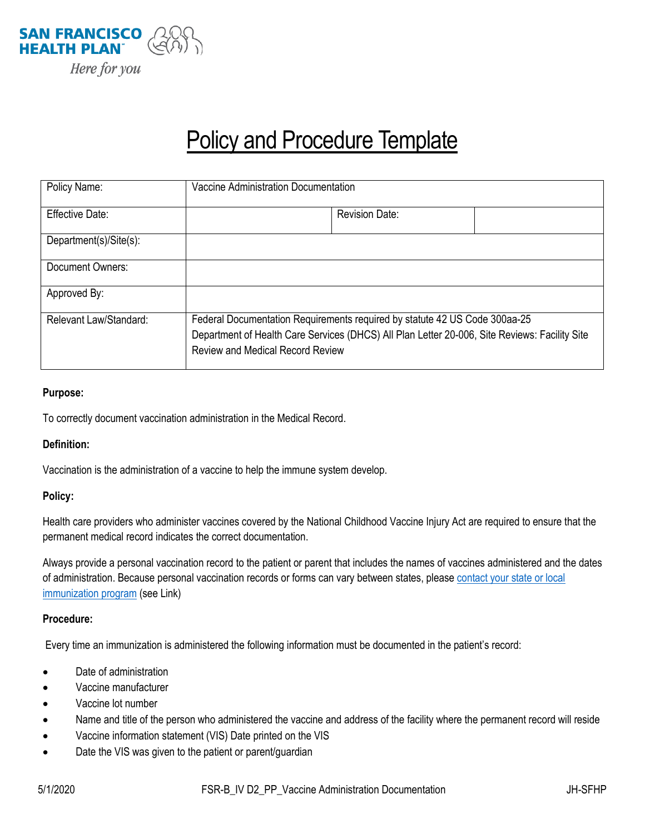

# **Policy and Procedure Template**

| Policy Name:           | Vaccine Administration Documentation                                                                                                                                                                                   |
|------------------------|------------------------------------------------------------------------------------------------------------------------------------------------------------------------------------------------------------------------|
| <b>Effective Date:</b> | <b>Revision Date:</b>                                                                                                                                                                                                  |
| Department(s)/Site(s): |                                                                                                                                                                                                                        |
| Document Owners:       |                                                                                                                                                                                                                        |
| Approved By:           |                                                                                                                                                                                                                        |
| Relevant Law/Standard: | Federal Documentation Requirements required by statute 42 US Code 300aa-25<br>Department of Health Care Services (DHCS) All Plan Letter 20-006, Site Reviews: Facility Site<br><b>Review and Medical Record Review</b> |

## **Purpose:**

To correctly document vaccination administration in the Medical Record.

### **Definition:**

Vaccination is the administration of a vaccine to help the immune system develop.

### **Policy:**

Health care providers who administer vaccines covered by the National Childhood Vaccine Injury Act are required to ensure that the permanent medical record indicates the correct documentation.

Always provide a personal vaccination record to the patient or parent that includes the names of vaccines administered and the dates of administration. Because personal vaccination records or forms can vary between states, please contact your state or local [immunization program](http://www.immunizationmanagers.org/?MemPage) (see Link)

### **Procedure:**

Every time an immunization is administered the following information must be documented in the patient's record:

- Date of administration
- Vaccine manufacturer
- Vaccine lot number
- Name and title of the person who administered the vaccine and address of the facility where the permanent record will reside
- Vaccine information statement (VIS) Date printed on the VIS
- Date the VIS was given to the patient or parent/guardian